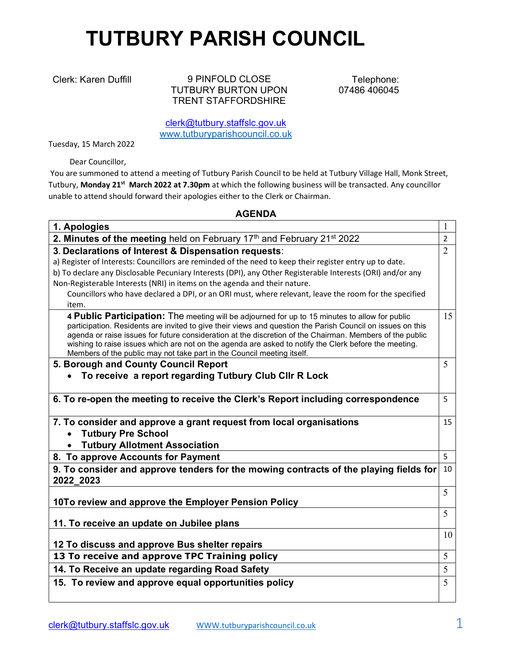## TUTBURY PARISH COUNCIL

Clerk: Karen Duffill 9 PINFOLD CLOSE TUTBURY BURTON UPON TRENT STAFFORDSHIRE

Telephone: 07486 406045

clerk@tutbury.staffslc.gov.uk www.tutburyparishcouncil.co.uk

Tuesday, 15 March 2022

Dear Councillor,

 You are summoned to attend a meeting of Tutbury Parish Council to be held at Tutbury Village Hall, Monk Street, Tutbury, Monday 21<sup>st</sup> March 2022 at 7.30pm at which the following business will be transacted. Any councillor unable to attend should forward their apologies either to the Clerk or Chairman.

## AGENDA

| 1. Apologies                                                                                                                                                                                                                                                                                                                                                                                                                                                                                                |                |
|-------------------------------------------------------------------------------------------------------------------------------------------------------------------------------------------------------------------------------------------------------------------------------------------------------------------------------------------------------------------------------------------------------------------------------------------------------------------------------------------------------------|----------------|
| 2. Minutes of the meeting held on February 17th and February 21st 2022                                                                                                                                                                                                                                                                                                                                                                                                                                      | $\overline{2}$ |
| 3. Declarations of Interest & Dispensation requests:<br>a) Register of Interests: Councillors are reminded of the need to keep their register entry up to date.                                                                                                                                                                                                                                                                                                                                             | $\overline{2}$ |
| b) To declare any Disclosable Pecuniary Interests (DPI), any Other Registerable Interests (ORI) and/or any<br>Non-Registerable Interests (NRI) in items on the agenda and their nature.                                                                                                                                                                                                                                                                                                                     |                |
| Councillors who have declared a DPI, or an ORI must, where relevant, leave the room for the specified                                                                                                                                                                                                                                                                                                                                                                                                       |                |
| item.                                                                                                                                                                                                                                                                                                                                                                                                                                                                                                       |                |
| 4 Public Participation: The meeting will be adjourned for up to 15 minutes to allow for public<br>participation. Residents are invited to give their views and question the Parish Council on issues on this<br>agenda or raise issues for future consideration at the discretion of the Chairman. Members of the public<br>wishing to raise issues which are not on the agenda are asked to notify the Clerk before the meeting.<br>Members of the public may not take part in the Council meeting itself. | 15             |
| 5. Borough and County Council Report                                                                                                                                                                                                                                                                                                                                                                                                                                                                        | 5              |
| To receive a report regarding Tutbury Club Cllr R Lock                                                                                                                                                                                                                                                                                                                                                                                                                                                      |                |
| 6. To re-open the meeting to receive the Clerk's Report including correspondence                                                                                                                                                                                                                                                                                                                                                                                                                            | 5              |
| 7. To consider and approve a grant request from local organisations<br><b>Tutbury Pre School</b>                                                                                                                                                                                                                                                                                                                                                                                                            | 15             |
| <b>Tutbury Allotment Association</b>                                                                                                                                                                                                                                                                                                                                                                                                                                                                        |                |
| 8. To approve Accounts for Payment                                                                                                                                                                                                                                                                                                                                                                                                                                                                          | 5              |
| 9. To consider and approve tenders for the mowing contracts of the playing fields for<br>2022_2023                                                                                                                                                                                                                                                                                                                                                                                                          | 10             |
| 10To review and approve the Employer Pension Policy                                                                                                                                                                                                                                                                                                                                                                                                                                                         | 5              |
| 11. To receive an update on Jubilee plans                                                                                                                                                                                                                                                                                                                                                                                                                                                                   | 5              |
| 12 To discuss and approve Bus shelter repairs                                                                                                                                                                                                                                                                                                                                                                                                                                                               | 10             |
| 13 To receive and approve TPC Training policy                                                                                                                                                                                                                                                                                                                                                                                                                                                               | 5              |
| 14. To Receive an update regarding Road Safety                                                                                                                                                                                                                                                                                                                                                                                                                                                              | 5              |
| 15. To review and approve equal opportunities policy                                                                                                                                                                                                                                                                                                                                                                                                                                                        | 5              |
|                                                                                                                                                                                                                                                                                                                                                                                                                                                                                                             |                |